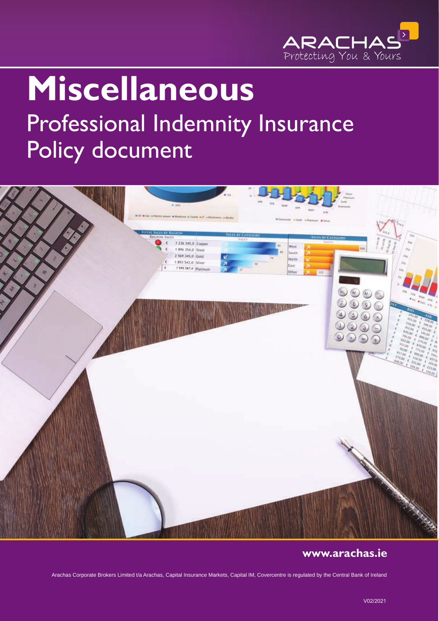

# **Miscellaneous** Professional Indemnity Insurance Policy document



# **www.arachas.ie**

Arachas Corporate Brokers Limited t/a Arachas, Capital Insurance Markets, Capital IM, Covercentre is regulated by the Central Bank of Ireland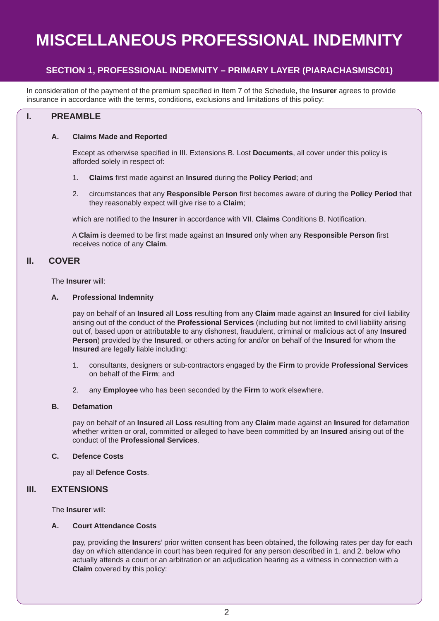# **MISCELLANEOUS PROFESSIONAL INDEMNITY**

# **SECTION 1, PROFESSIONAL INDEMNITY – PRIMARY LAYER (PIARACHASMISC01)**

In consideration of the payment of the premium specified in Item 7 of the Schedule, the **Insurer** agrees to provide insurance in accordance with the terms, conditions, exclusions and limitations of this policy:

# **I. PREAMBLE**

#### **A. Claims Made and Reported**

 Except as otherwise specified in III. Extensions B. Lost **Documents**, all cover under this policy is afforded solely in respect of:

- 1. **Claims** first made against an **Insured** during the **Policy Period**; and
- 2. circumstances that any **Responsible Person** first becomes aware of during the **Policy Period** that they reasonably expect will give rise to a **Claim**;

which are notified to the **Insurer** in accordance with VII. **Claims** Conditions B. Notification.

 A **Claim** is deemed to be first made against an **Insured** only when any **Responsible Person** first receives notice of any **Claim**.

# **II. COVER**

The **Insurer** will:

#### **A. Professional Indemnity**

 pay on behalf of an **Insured** all **Loss** resulting from any **Claim** made against an **Insured** for civil liability arising out of the conduct of the **Professional Services** (including but not limited to civil liability arising out of, based upon or attributable to any dishonest, fraudulent, criminal or malicious act of any **Insured Person**) provided by the **Insured**, or others acting for and/or on behalf of the **Insured** for whom the **Insured** are legally liable including:

- 1. consultants, designers or sub-contractors engaged by the **Firm** to provide **Professional Services** on behalf of the **Firm**; and
- 2. any **Employee** who has been seconded by the **Firm** to work elsewhere.

#### **B. Defamation**

 pay on behalf of an **Insured** all **Loss** resulting from any **Claim** made against an **Insured** for defamation whether written or oral, committed or alleged to have been committed by an **Insured** arising out of the conduct of the **Professional Services**.

#### **C. Defence Costs**

pay all **Defence Costs**.

# **III. EXTENSIONS**

The **Insurer** will:

#### **A. Court Attendance Costs**

 pay, providing the **Insurer**s' prior written consent has been obtained, the following rates per day for each day on which attendance in court has been required for any person described in 1. and 2. below who actually attends a court or an arbitration or an adjudication hearing as a witness in connection with a **Claim** covered by this policy: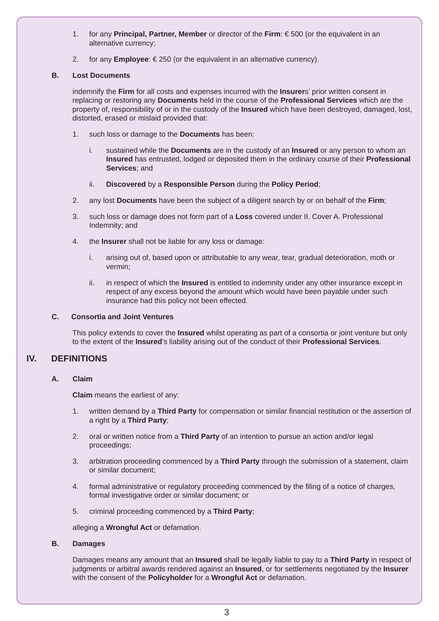- 1. for any **Principal, Partner, Member** or director of the **Firm**: € 500 (or the equivalent in an alternative currency;
- 2. for any **Employee**: € 250 (or the equivalent in an alternative currency).

#### **B. Lost Documents**

 indemnify the **Firm** for all costs and expenses incurred with the **Insurer**s' prior written consent in replacing or restoring any **Documents** held in the course of the **Professional Services** which are the property of, responsibility of or in the custody of the **Insured** which have been destroyed, damaged, lost, distorted, erased or mislaid provided that:

- 1. such loss or damage to the **Documents** has been:
	- i. sustained while the **Documents** are in the custody of an **Insured** or any person to whom an **Insured** has entrusted, lodged or deposited them in the ordinary course of their **Professional Services**; and
	- ii. **Discovered** by a **Responsible Person** during the **Policy Period**;
- 2. any lost **Documents** have been the subject of a diligent search by or on behalf of the **Firm**;
- 3. such loss or damage does not form part of a **Loss** covered under II. Cover A. Professional Indemnity; and
- 4. the **Insurer** shall not be liable for any loss or damage:
	- i. arising out of, based upon or attributable to any wear, tear, gradual deterioration, moth or vermin;
	- ii. in respect of which the **Insured** is entitled to indemnity under any other insurance except in respect of any excess beyond the amount which would have been payable under such insurance had this policy not been effected.

#### **C. Consortia and Joint Ventures**

 This policy extends to cover the **Insured** whilst operating as part of a consortia or joint venture but only to the extent of the **Insured**'s liability arising out of the conduct of their **Professional Services**.

# **IV. DEFINITIONS**

#### **A. Claim**

**Claim** means the earliest of any:

- 1. written demand by a **Third Party** for compensation or similar financial restitution or the assertion of a right by a **Third Party**;
- 2. oral or written notice from a **Third Party** of an intention to pursue an action and/or legal proceedings;
- 3. arbitration proceeding commenced by a **Third Party** through the submission of a statement, claim or similar document;
- 4. formal administrative or regulatory proceeding commenced by the filing of a notice of charges, formal investigative order or similar document; or
- 5. criminal proceeding commenced by a **Third Party**;

#### alleging a **Wrongful Act** or defamation.

#### **B. Damages**

 Damages means any amount that an **Insured** shall be legally liable to pay to a **Third Party** in respect of judgments or arbitral awards rendered against an **Insured**, or for settlements negotiated by the **Insurer** with the consent of the **Policyholder** for a **Wrongful Act** or defamation.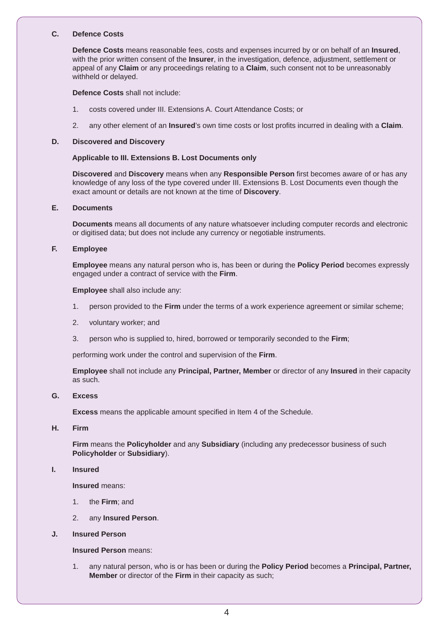#### **C. Defence Costs**

 **Defence Costs** means reasonable fees, costs and expenses incurred by or on behalf of an **Insured**, with the prior written consent of the **Insurer**, in the investigation, defence, adjustment, settlement or appeal of any **Claim** or any proceedings relating to a **Claim**, such consent not to be unreasonably withheld or delayed.

**Defence Costs** shall not include:

- 1. costs covered under III. Extensions A. Court Attendance Costs; or
- 2. any other element of an **Insured**'s own time costs or lost profits incurred in dealing with a **Claim**.

#### **D. Discovered and Discovery**

#### **Applicable to III. Extensions B. Lost Documents only**

 **Discovered** and **Discovery** means when any **Responsible Person** first becomes aware of or has any knowledge of any loss of the type covered under III. Extensions B. Lost Documents even though the exact amount or details are not known at the time of **Discovery**.

#### **E. Documents**

 **Documents** means all documents of any nature whatsoever including computer records and electronic or digitised data; but does not include any currency or negotiable instruments.

#### **F. Employee**

 **Employee** means any natural person who is, has been or during the **Policy Period** becomes expressly engaged under a contract of service with the **Firm**.

**Employee** shall also include any:

- 1. person provided to the **Firm** under the terms of a work experience agreement or similar scheme;
- 2. voluntary worker; and
- 3. person who is supplied to, hired, borrowed or temporarily seconded to the **Firm**;

performing work under the control and supervision of the **Firm**.

 **Employee** shall not include any **Principal, Partner, Member** or director of any **Insured** in their capacity as such.

#### **G. Excess**

**Excess** means the applicable amount specified in Item 4 of the Schedule.

 **H. Firm**

 **Firm** means the **Policyholder** and any **Subsidiary** (including any predecessor business of such **Policyholder** or **Subsidiary**).

#### **I. Insured**

**Insured** means:

- 1. the **Firm**; and
- 2. any **Insured Person**.

#### **J. Insured Person**

#### **Insured Person** means:

 1. any natural person, who is or has been or during the **Policy Period** becomes a **Principal, Partner, Member** or director of the **Firm** in their capacity as such;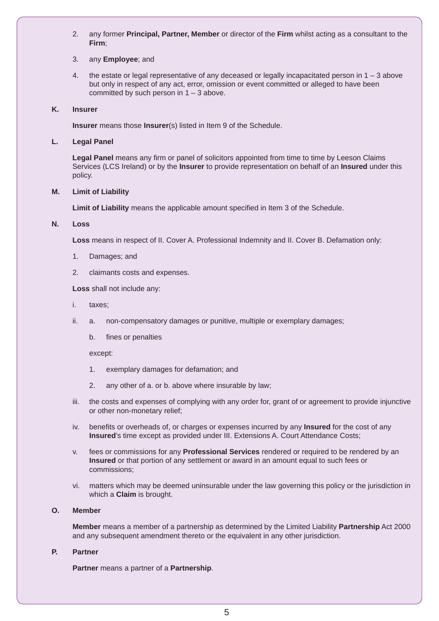2. any former **Principal, Partner, Member** or director of the **Firm** whilst acting as a consultant to the **Firm**;

#### 3. any **Employee**; and

 4. the estate or legal representative of any deceased or legally incapacitated person in 1 – 3 above but only in respect of any act, error, omission or event committed or alleged to have been committed by such person in  $1 - 3$  above.

#### **K. Insurer**

**Insurer** means those **Insurer**(s) listed in Item 9 of the Schedule.

#### **L. Legal Panel**

 **Legal Panel** means any firm or panel of solicitors appointed from time to time by Leeson Claims Services (LCS Ireland) or by the **Insurer** to provide representation on behalf of an **Insured** under this policy.

#### **M. Limit of Liability**

**Limit of Liability** means the applicable amount specified in Item 3 of the Schedule.

#### **N. Loss**

**Loss** means in respect of II. Cover A. Professional Indemnity and II. Cover B. Defamation only:

- 1. Damages; and
- 2. claimants costs and expenses.

**Loss** shall not include any:

- i. taxes;
- ii. a. non-compensatory damages or punitive, multiple or exemplary damages;
	- b. fines or penalties

except:

- 1. exemplary damages for defamation; and
- 2. any other of a. or b. above where insurable by law;
- iii. the costs and expenses of complying with any order for, grant of or agreement to provide injunctive or other non-monetary relief;
- iv. benefits or overheads of, or charges or expenses incurred by any **Insured** for the cost of any **Insured**'s time except as provided under III. Extensions A. Court Attendance Costs;
- v. fees or commissions for any **Professional Services** rendered or required to be rendered by an **Insured** or that portion of any settlement or award in an amount equal to such fees or commissions;
- vi. matters which may be deemed uninsurable under the law governing this policy or the jurisdiction in which a **Claim** is brought.

#### **O. Member**

 **Member** means a member of a partnership as determined by the Limited Liability **Partnership** Act 2000 and any subsequent amendment thereto or the equivalent in any other jurisdiction.

#### **P. Partner**

**Partner** means a partner of a **Partnership**.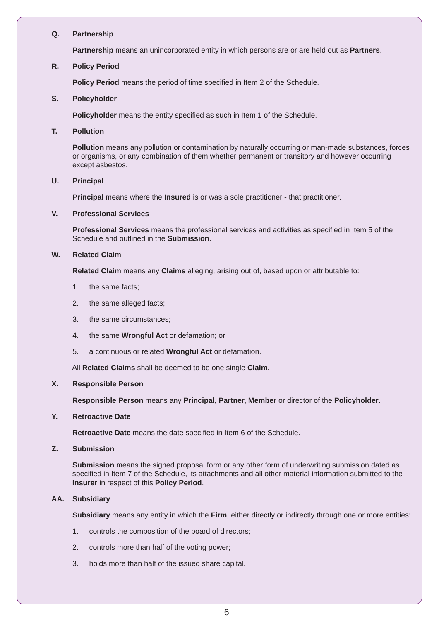#### **Q. Partnership**

**Partnership** means an unincorporated entity in which persons are or are held out as **Partners**.

#### **R. Policy Period**

**Policy Period** means the period of time specified in Item 2 of the Schedule.

#### **S. Policyholder**

**Policyholder** means the entity specified as such in Item 1 of the Schedule.

#### **T. Pollution**

 **Pollution** means any pollution or contamination by naturally occurring or man-made substances, forces or organisms, or any combination of them whether permanent or transitory and however occurring except asbestos.

#### **U. Principal**

**Principal** means where the **Insured** is or was a sole practitioner - that practitioner.

#### **V. Professional Services**

 **Professional Services** means the professional services and activities as specified in Item 5 of the Schedule and outlined in the **Submission**.

#### **W. Related Claim**

**Related Claim** means any **Claims** alleging, arising out of, based upon or attributable to:

- 1. the same facts;
- 2. the same alleged facts;
- 3. the same circumstances;
- 4. the same **Wrongful Act** or defamation; or
- 5. a continuous or related **Wrongful Act** or defamation.

All **Related Claims** shall be deemed to be one single **Claim**.

#### **X. Responsible Person**

**Responsible Person** means any **Principal, Partner, Member** or director of the **Policyholder**.

#### **Y. Retroactive Date**

**Retroactive Date** means the date specified in Item 6 of the Schedule.

#### **Z. Submission**

**Submission** means the signed proposal form or any other form of underwriting submission dated as specified in Item 7 of the Schedule, its attachments and all other material information submitted to the **Insurer** in respect of this **Policy Period**.

#### **AA. Subsidiary**

**Subsidiary** means any entity in which the **Firm**, either directly or indirectly through one or more entities:

- 1. controls the composition of the board of directors;
- 2. controls more than half of the voting power;
- 3. holds more than half of the issued share capital.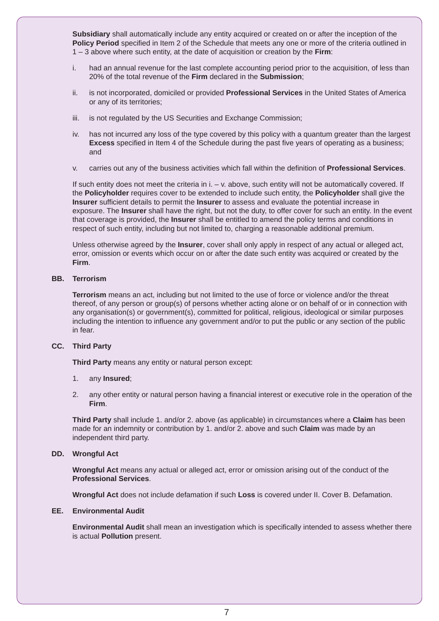**Subsidiary** shall automatically include any entity acquired or created on or after the inception of the **Policy Period** specified in Item 2 of the Schedule that meets any one or more of the criteria outlined in 1 – 3 above where such entity, at the date of acquisition or creation by the **Firm**:

- i. had an annual revenue for the last complete accounting period prior to the acquisition, of less than 20% of the total revenue of the **Firm** declared in the **Submission**;
- ii. is not incorporated, domiciled or provided **Professional Services** in the United States of America or any of its territories;
- iii. is not regulated by the US Securities and Exchange Commission;
- iv. has not incurred any loss of the type covered by this policy with a quantum greater than the largest **Excess** specified in Item 4 of the Schedule during the past five years of operating as a business; and
- v. carries out any of the business activities which fall within the definition of **Professional Services**.

 If such entity does not meet the criteria in i. – v. above, such entity will not be automatically covered. If the **Policyholder** requires cover to be extended to include such entity, the **Policyholder** shall give the **Insurer** sufficient details to permit the **Insurer** to assess and evaluate the potential increase in exposure. The **Insurer** shall have the right, but not the duty, to offer cover for such an entity. In the event that coverage is provided, the **Insurer** shall be entitled to amend the policy terms and conditions in respect of such entity, including but not limited to, charging a reasonable additional premium.

 Unless otherwise agreed by the **Insurer**, cover shall only apply in respect of any actual or alleged act, error, omission or events which occur on or after the date such entity was acquired or created by the **Firm**.

#### **BB. Terrorism**

 **Terrorism** means an act, including but not limited to the use of force or violence and/or the threat thereof, of any person or group(s) of persons whether acting alone or on behalf of or in connection with any organisation(s) or government(s), committed for political, religious, ideological or similar purposes including the intention to influence any government and/or to put the public or any section of the public in fear.

#### **CC. Third Party**

**Third Party** means any entity or natural person except:

- 1. any **Insured**;
- 2. any other entity or natural person having a financial interest or executive role in the operation of the **Firm**.

 **Third Party** shall include 1. and/or 2. above (as applicable) in circumstances where a **Claim** has been made for an indemnity or contribution by 1. and/or 2. above and such **Claim** was made by an independent third party.

#### **DD. Wrongful Act**

 **Wrongful Act** means any actual or alleged act, error or omission arising out of the conduct of the **Professional Services**.

**Wrongful Act** does not include defamation if such **Loss** is covered under II. Cover B. Defamation.

#### **EE. Environmental Audit**

 **Environmental Audit** shall mean an investigation which is specifically intended to assess whether there is actual **Pollution** present.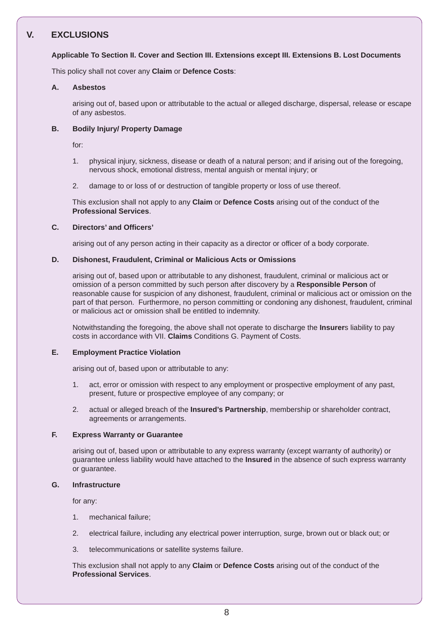# **V. EXCLUSIONS**

#### **Applicable To Section II. Cover and Section III. Extensions except III. Extensions B. Lost Documents**

This policy shall not cover any **Claim** or **Defence Costs**:

#### **A. Asbestos**

 arising out of, based upon or attributable to the actual or alleged discharge, dispersal, release or escape of any asbestos.

#### **B. Bodily Injury/ Property Damage**

for:

- 1. physical injury, sickness, disease or death of a natural person; and if arising out of the foregoing, nervous shock, emotional distress, mental anguish or mental injury; or
- 2. damage to or loss of or destruction of tangible property or loss of use thereof.

 This exclusion shall not apply to any **Claim** or **Defence Costs** arising out of the conduct of the **Professional Services**.

#### **C. Directors' and Officers'**

arising out of any person acting in their capacity as a director or officer of a body corporate.

#### **D. Dishonest, Fraudulent, Criminal or Malicious Acts or Omissions**

 arising out of, based upon or attributable to any dishonest, fraudulent, criminal or malicious act or omission of a person committed by such person after discovery by a **Responsible Person** of reasonable cause for suspicion of any dishonest, fraudulent, criminal or malicious act or omission on the part of that person. Furthermore, no person committing or condoning any dishonest, fraudulent, criminal or malicious act or omission shall be entitled to indemnity.

 Notwithstanding the foregoing, the above shall not operate to discharge the **Insurer**s liability to pay costs in accordance with VII. **Claims** Conditions G. Payment of Costs.

#### **E. Employment Practice Violation**

arising out of, based upon or attributable to any:

- 1. act, error or omission with respect to any employment or prospective employment of any past, present, future or prospective employee of any company; or
- 2. actual or alleged breach of the **Insured's Partnership**, membership or shareholder contract, agreements or arrangements.

#### **F. Express Warranty or Guarantee**

 arising out of, based upon or attributable to any express warranty (except warranty of authority) or guarantee unless liability would have attached to the **Insured** in the absence of such express warranty or guarantee.

#### **G. Infrastructure**

for any:

- 1. mechanical failure;
- 2. electrical failure, including any electrical power interruption, surge, brown out or black out; or
- 3. telecommunications or satellite systems failure.

 This exclusion shall not apply to any **Claim** or **Defence Costs** arising out of the conduct of the **Professional Services**.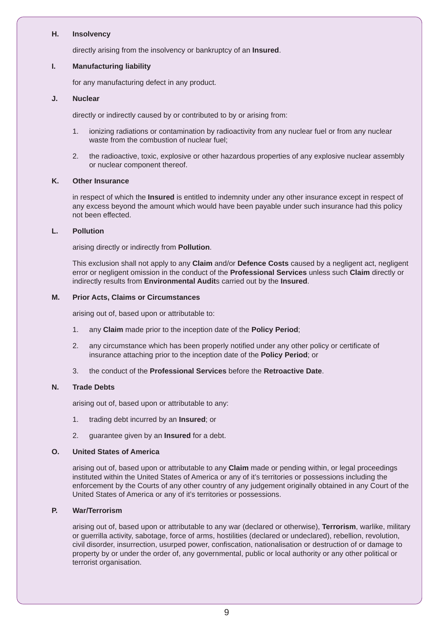#### **H. Insolvency**

directly arising from the insolvency or bankruptcy of an **Insured**.

#### **I. Manufacturing liability**

for any manufacturing defect in any product.

#### **J. Nuclear**

directly or indirectly caused by or contributed to by or arising from:

- 1. ionizing radiations or contamination by radioactivity from any nuclear fuel or from any nuclear waste from the combustion of nuclear fuel;
- 2. the radioactive, toxic, explosive or other hazardous properties of any explosive nuclear assembly or nuclear component thereof.

#### **K. Other Insurance**

 in respect of which the **Insured** is entitled to indemnity under any other insurance except in respect of any excess beyond the amount which would have been payable under such insurance had this policy not been effected.

#### **L. Pollution**

arising directly or indirectly from **Pollution**.

 This exclusion shall not apply to any **Claim** and/or **Defence Costs** caused by a negligent act, negligent error or negligent omission in the conduct of the **Professional Services** unless such **Claim** directly or indirectly results from **Environmental Audit**s carried out by the **Insured**.

#### **M. Prior Acts, Claims or Circumstances**

arising out of, based upon or attributable to:

- 1. any **Claim** made prior to the inception date of the **Policy Period**;
- 2. any circumstance which has been properly notified under any other policy or certificate of insurance attaching prior to the inception date of the **Policy Period**; or
- 3. the conduct of the **Professional Services** before the **Retroactive Date**.

#### **N. Trade Debts**

arising out of, based upon or attributable to any:

- 1. trading debt incurred by an **Insured**; or
- 2. guarantee given by an **Insured** for a debt.

#### **O. United States of America**

 arising out of, based upon or attributable to any **Claim** made or pending within, or legal proceedings instituted within the United States of America or any of it's territories or possessions including the enforcement by the Courts of any other country of any judgement originally obtained in any Court of the United States of America or any of it's territories or possessions.

#### **P. War/Terrorism**

 arising out of, based upon or attributable to any war (declared or otherwise), **Terrorism**, warlike, military or guerrilla activity, sabotage, force of arms, hostilities (declared or undeclared), rebellion, revolution, civil disorder, insurrection, usurped power, confiscation, nationalisation or destruction of or damage to property by or under the order of, any governmental, public or local authority or any other political or terrorist organisation.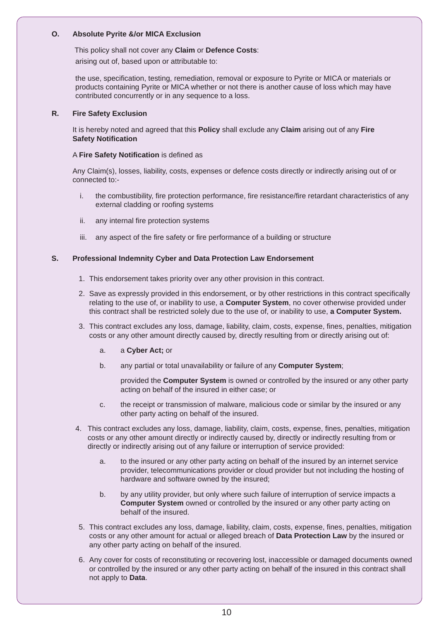#### **O. Absolute Pyrite &/or MICA Exclusion**

This policy shall not cover any **Claim** or **Defence Costs**:

arising out of, based upon or attributable to:

 the use, specification, testing, remediation, removal or exposure to Pyrite or MICA or materials or products containing Pyrite or MICA whether or not there is another cause of loss which may have contributed concurrently or in any sequence to a loss.

#### **R. Fire Safety Exclusion**

 It is hereby noted and agreed that this **Policy** shall exclude any **Claim** arising out of any **Fire Safety Notification** 

#### A **Fire Safety Notification** is defined as

 Any Claim(s), losses, liability, costs, expenses or defence costs directly or indirectly arising out of or connected to:-

- i. the combustibility, fire protection performance, fire resistance/fire retardant characteristics of any external cladding or roofing systems
- ii. any internal fire protection systems
- iii. any aspect of the fire safety or fire performance of a building or structure

#### **S. Professional Indemnity Cyber and Data Protection Law Endorsement**

- 1. This endorsement takes priority over any other provision in this contract.
- 2. Save as expressly provided in this endorsement, or by other restrictions in this contract specifically relating to the use of, or inability to use, a **Computer System**, no cover otherwise provided under this contract shall be restricted solely due to the use of, or inability to use, **a Computer System.**
- 3. This contract excludes any loss, damage, liability, claim, costs, expense, fines, penalties, mitigation costs or any other amount directly caused by, directly resulting from or directly arising out of:
	- a. a **Cyber Act;** or
	- b. any partial or total unavailability or failure of any **Computer System**;

provided the **Computer System** is owned or controlled by the insured or any other party acting on behalf of the insured in either case; or

- c. the receipt or transmission of malware, malicious code or similar by the insured or any other party acting on behalf of the insured.
- 4. This contract excludes any loss, damage, liability, claim, costs, expense, fines, penalties, mitigation costs or any other amount directly or indirectly caused by, directly or indirectly resulting from or directly or indirectly arising out of any failure or interruption of service provided:
	- a. to the insured or any other party acting on behalf of the insured by an internet service provider, telecommunications provider or cloud provider but not including the hosting of hardware and software owned by the insured;
	- b. by any utility provider, but only where such failure of interruption of service impacts a **Computer System** owned or controlled by the insured or any other party acting on behalf of the insured.
- 5. This contract excludes any loss, damage, liability, claim, costs, expense, fines, penalties, mitigation costs or any other amount for actual or alleged breach of **Data Protection Law** by the insured or any other party acting on behalf of the insured.
- 6. Any cover for costs of reconstituting or recovering lost, inaccessible or damaged documents owned or controlled by the insured or any other party acting on behalf of the insured in this contract shall not apply to **Data**.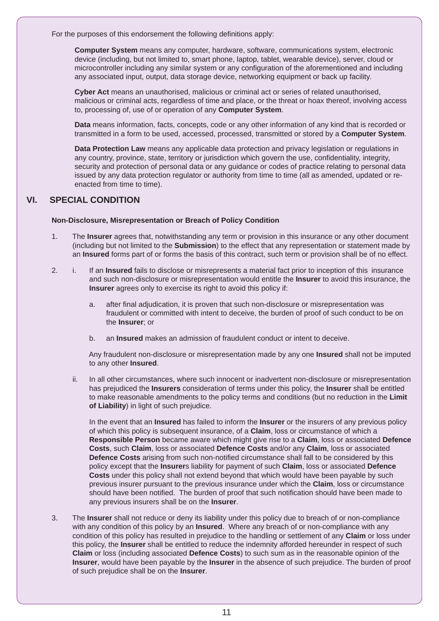For the purposes of this endorsement the following definitions apply:

**Computer System** means any computer, hardware, software, communications system, electronic device (including, but not limited to, smart phone, laptop, tablet, wearable device), server, cloud or microcontroller including any similar system or any configuration of the aforementioned and including any associated input, output, data storage device, networking equipment or back up facility.

**Cyber Act** means an unauthorised, malicious or criminal act or series of related unauthorised, malicious or criminal acts, regardless of time and place, or the threat or hoax thereof, involving access to, processing of, use of or operation of any **Computer System**.

**Data** means information, facts, concepts, code or any other information of any kind that is recorded or transmitted in a form to be used, accessed, processed, transmitted or stored by a **Computer System**.

**Data Protection Law** means any applicable data protection and privacy legislation or regulations in any country, province, state, territory or jurisdiction which govern the use, confidentiality, integrity, security and protection of personal data or any guidance or codes of practice relating to personal data issued by any data protection regulator or authority from time to time (all as amended, updated or reenacted from time to time).

# **VI. SPECIAL CONDITION**

#### **Non-Disclosure, Misrepresentation or Breach of Policy Condition**

- 1. The **Insurer** agrees that, notwithstanding any term or provision in this insurance or any other document (including but not limited to the **Submission**) to the effect that any representation or statement made by an **Insured** forms part of or forms the basis of this contract, such term or provision shall be of no effect.
- 2. i. If an **Insured** fails to disclose or misrepresents a material fact prior to inception of this insurance and such non-disclosure or misrepresentation would entitle the **Insurer** to avoid this insurance, the **Insurer** agrees only to exercise its right to avoid this policy if:
	- a. after final adjudication, it is proven that such non-disclosure or misrepresentation was fraudulent or committed with intent to deceive, the burden of proof of such conduct to be on the **Insurer**; or
	- b. an **Insured** makes an admission of fraudulent conduct or intent to deceive.

 Any fraudulent non-disclosure or misrepresentation made by any one **Insured** shall not be imputed to any other **Insured**.

 ii. In all other circumstances, where such innocent or inadvertent non-disclosure or misrepresentation has prejudiced the **Insurers** consideration of terms under this policy, the **Insurer** shall be entitled to make reasonable amendments to the policy terms and conditions (but no reduction in the **Limit of Liability**) in light of such prejudice.

 In the event that an **Insured** has failed to inform the **Insurer** or the insurers of any previous policy of which this policy is subsequent insurance, of a **Claim**, loss or circumstance of which a **Responsible Person** became aware which might give rise to a **Claim**, loss or associated **Defence Costs**, such **Claim**, loss or associated **Defence Costs** and/or any **Claim**, loss or associated **Defence Costs** arising from such non-notified circumstance shall fall to be considered by this policy except that the **Insurer**s liability for payment of such **Claim**, loss or associated **Defence Costs** under this policy shall not extend beyond that which would have been payable by such previous insurer pursuant to the previous insurance under which the **Claim**, loss or circumstance should have been notified. The burden of proof that such notification should have been made to any previous insurers shall be on the **Insurer**.

 3. The **Insurer** shall not reduce or deny its liability under this policy due to breach of or non-compliance with any condition of this policy by an **Insured**. Where any breach of or non-compliance with any condition of this policy has resulted in prejudice to the handling or settlement of any **Claim** or loss under this policy, the **Insurer** shall be entitled to reduce the indemnity afforded hereunder in respect of such **Claim** or loss (including associated **Defence Costs**) to such sum as in the reasonable opinion of the **Insurer**, would have been payable by the **Insurer** in the absence of such prejudice. The burden of proof of such prejudice shall be on the **Insurer**.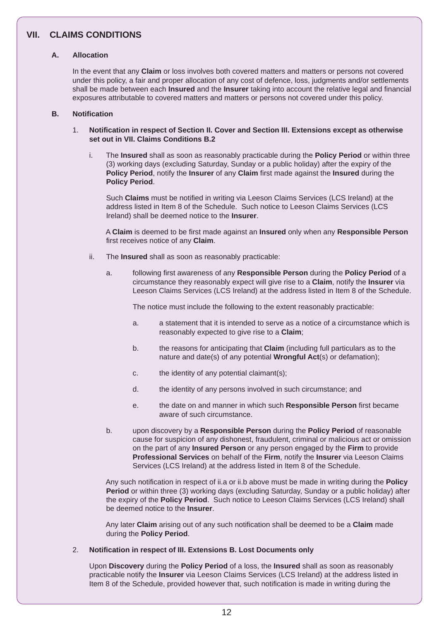# **VII. CLAIMS CONDITIONS**

#### **A. Allocation**

 In the event that any **Claim** or loss involves both covered matters and matters or persons not covered under this policy, a fair and proper allocation of any cost of defence, loss, judgments and/or settlements shall be made between each **Insured** and the **Insurer** taking into account the relative legal and financial exposures attributable to covered matters and matters or persons not covered under this policy.

#### **B. Notification**

#### 1. **Notification in respect of Section II. Cover and Section III. Extensions except as otherwise set out in VII. Claims Conditions B.2**

 i. The **Insured** shall as soon as reasonably practicable during the **Policy Period** or within three (3) working days (excluding Saturday, Sunday or a public holiday) after the expiry of the **Policy Period**, notify the **Insurer** of any **Claim** first made against the **Insured** during the **Policy Period**.

 Such **Claims** must be notified in writing via Leeson Claims Services (LCS Ireland) at the address listed in Item 8 of the Schedule. Such notice to Leeson Claims Services (LCS Ireland) shall be deemed notice to the **Insurer**.

 A **Claim** is deemed to be first made against an **Insured** only when any **Responsible Person** first receives notice of any **Claim**.

- ii. The **Insured** shall as soon as reasonably practicable:
	- a. following first awareness of any **Responsible Person** during the **Policy Period** of a circumstance they reasonably expect will give rise to a **Claim**, notify the **Insurer** via Leeson Claims Services (LCS Ireland) at the address listed in Item 8 of the Schedule.

The notice must include the following to the extent reasonably practicable:

- a. a statement that it is intended to serve as a notice of a circumstance which is reasonably expected to give rise to a **Claim**;
- b. the reasons for anticipating that **Claim** (including full particulars as to the nature and date(s) of any potential **Wrongful Act**(s) or defamation);
- c. the identity of any potential claimant(s);
- d. the identity of any persons involved in such circumstance; and
- e. the date on and manner in which such **Responsible Person** first became aware of such circumstance.
- b. upon discovery by a **Responsible Person** during the **Policy Period** of reasonable cause for suspicion of any dishonest, fraudulent, criminal or malicious act or omission on the part of any **Insured Person** or any person engaged by the **Firm** to provide **Professional Services** on behalf of the **Firm**, notify the **Insurer** via Leeson Claims Services (LCS Ireland) at the address listed in Item 8 of the Schedule.

 Any such notification in respect of ii.a or ii.b above must be made in writing during the **Policy Period** or within three (3) working days (excluding Saturday, Sunday or a public holiday) after the expiry of the **Policy Period**. Such notice to Leeson Claims Services (LCS Ireland) shall be deemed notice to the **Insurer**.

 Any later **Claim** arising out of any such notification shall be deemed to be a **Claim** made during the **Policy Period**.

#### 2. **Notification in respect of III. Extensions B. Lost Documents only**

 Upon **Discovery** during the **Policy Period** of a loss, the **Insured** shall as soon as reasonably practicable notify the **Insurer** via Leeson Claims Services (LCS Ireland) at the address listed in Item 8 of the Schedule, provided however that, such notification is made in writing during the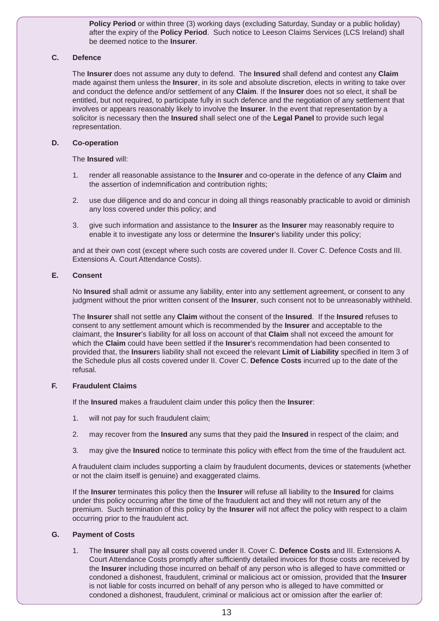**Policy Period** or within three (3) working days (excluding Saturday, Sunday or a public holiday) after the expiry of the **Policy Period**. Such notice to Leeson Claims Services (LCS Ireland) shall be deemed notice to the **Insurer**.

#### **C. Defence**

 The **Insurer** does not assume any duty to defend. The **Insured** shall defend and contest any **Claim** made against them unless the **Insurer**, in its sole and absolute discretion, elects in writing to take over and conduct the defence and/or settlement of any **Claim**. If the **Insurer** does not so elect, it shall be entitled, but not required, to participate fully in such defence and the negotiation of any settlement that involves or appears reasonably likely to involve the **Insurer**. In the event that representation by a solicitor is necessary then the **Insured** shall select one of the **Legal Panel** to provide such legal representation.

#### **D. Co-operation**

The **Insured** will:

- 1. render all reasonable assistance to the **Insurer** and co-operate in the defence of any **Claim** and the assertion of indemnification and contribution rights;
- 2. use due diligence and do and concur in doing all things reasonably practicable to avoid or diminish any loss covered under this policy; and
- 3. give such information and assistance to the **Insurer** as the **Insurer** may reasonably require to enable it to investigate any loss or determine the **Insurer**'s liability under this policy;

 and at their own cost (except where such costs are covered under II. Cover C. Defence Costs and III. Extensions A. Court Attendance Costs).

#### **E. Consent**

 No **Insured** shall admit or assume any liability, enter into any settlement agreement, or consent to any judgment without the prior written consent of the **Insurer**, such consent not to be unreasonably withheld.

 The **Insurer** shall not settle any **Claim** without the consent of the **Insured**. If the **Insured** refuses to consent to any settlement amount which is recommended by the **Insurer** and acceptable to the claimant, the **Insurer**'s liability for all loss on account of that **Claim** shall not exceed the amount for which the **Claim** could have been settled if the **Insurer**'s recommendation had been consented to provided that, the **Insurer**s liability shall not exceed the relevant **Limit of Liability** specified in Item 3 of the Schedule plus all costs covered under II. Cover C. **Defence Costs** incurred up to the date of the refusal.

#### **F. Fraudulent Claims**

If the **Insured** makes a fraudulent claim under this policy then the **Insurer**:

- 1. will not pay for such fraudulent claim;
- 2. may recover from the **Insured** any sums that they paid the **Insured** in respect of the claim; and
- 3. may give the **Insured** notice to terminate this policy with effect from the time of the fraudulent act.

 A fraudulent claim includes supporting a claim by fraudulent documents, devices or statements (whether or not the claim itself is genuine) and exaggerated claims.

 If the **Insurer** terminates this policy then the **Insurer** will refuse all liability to the **Insured** for claims under this policy occurring after the time of the fraudulent act and they will not return any of the premium. Such termination of this policy by the **Insurer** will not affect the policy with respect to a claim occurring prior to the fraudulent act.

#### **G. Payment of Costs**

 1. The **Insurer** shall pay all costs covered under II. Cover C. **Defence Costs** and III. Extensions A. Court Attendance Costs promptly after sufficiently detailed invoices for those costs are received by the **Insurer** including those incurred on behalf of any person who is alleged to have committed or condoned a dishonest, fraudulent, criminal or malicious act or omission, provided that the **Insurer** is not liable for costs incurred on behalf of any person who is alleged to have committed or condoned a dishonest, fraudulent, criminal or malicious act or omission after the earlier of: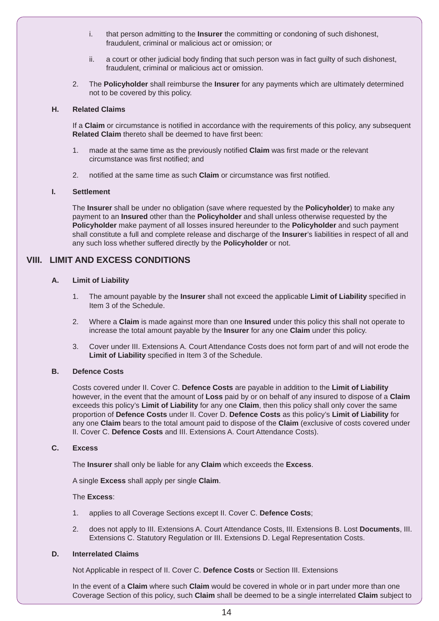- i. that person admitting to the **Insurer** the committing or condoning of such dishonest, fraudulent, criminal or malicious act or omission; or
- ii. a court or other judicial body finding that such person was in fact guilty of such dishonest, fraudulent, criminal or malicious act or omission.
- 2. The **Policyholder** shall reimburse the **Insurer** for any payments which are ultimately determined not to be covered by this policy.

#### **H. Related Claims**

 If a **Claim** or circumstance is notified in accordance with the requirements of this policy, any subsequent **Related Claim** thereto shall be deemed to have first been:

- 1. made at the same time as the previously notified **Claim** was first made or the relevant circumstance was first notified; and
- 2. notified at the same time as such **Claim** or circumstance was first notified.

#### **I. Settlement**

 The **Insurer** shall be under no obligation (save where requested by the **Policyholder**) to make any payment to an **Insured** other than the **Policyholder** and shall unless otherwise requested by the **Policyholder** make payment of all losses insured hereunder to the **Policyholder** and such payment shall constitute a full and complete release and discharge of the **Insurer**'s liabilities in respect of all and any such loss whether suffered directly by the **Policyholder** or not.

# **VIII. LIMIT AND EXCESS CONDITIONS**

#### **A. Limit of Liability**

- 1. The amount payable by the **Insurer** shall not exceed the applicable **Limit of Liability** specified in Item 3 of the Schedule.
- 2. Where a **Claim** is made against more than one **Insured** under this policy this shall not operate to increase the total amount payable by the **Insurer** for any one **Claim** under this policy.
- 3. Cover under III. Extensions A. Court Attendance Costs does not form part of and will not erode the **Limit of Liability** specified in Item 3 of the Schedule.

#### **B. Defence Costs**

 Costs covered under II. Cover C. **Defence Costs** are payable in addition to the **Limit of Liability** however, in the event that the amount of **Loss** paid by or on behalf of any insured to dispose of a **Claim** exceeds this policy's **Limit of Liability** for any one **Claim**, then this policy shall only cover the same proportion of **Defence Costs** under II. Cover D. **Defence Costs** as this policy's **Limit of Liability** for any one **Claim** bears to the total amount paid to dispose of the **Claim** (exclusive of costs covered under II. Cover C. **Defence Costs** and III. Extensions A. Court Attendance Costs).

#### **C. Excess**

The **Insurer** shall only be liable for any **Claim** which exceeds the **Excess**.

A single **Excess** shall apply per single **Claim**.

#### The **Excess**:

- 1. applies to all Coverage Sections except II. Cover C. **Defence Costs**;
- 2. does not apply to III. Extensions A. Court Attendance Costs, III. Extensions B. Lost **Documents**, III. Extensions C. Statutory Regulation or III. Extensions D. Legal Representation Costs.

#### **D. Interrelated Claims**

Not Applicable in respect of II. Cover C. **Defence Costs** or Section III. Extensions

 In the event of a **Claim** where such **Claim** would be covered in whole or in part under more than one Coverage Section of this policy, such **Claim** shall be deemed to be a single interrelated **Claim** subject to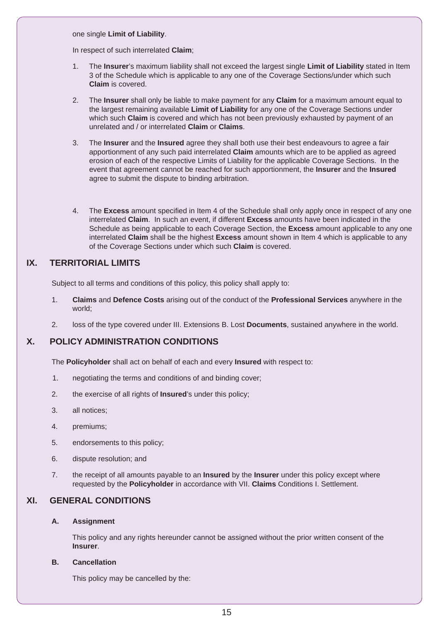one single **Limit of Liability**.

In respect of such interrelated **Claim**;

- 1. The **Insurer**'s maximum liability shall not exceed the largest single **Limit of Liability** stated in Item 3 of the Schedule which is applicable to any one of the Coverage Sections/under which such **Claim** is covered.
- 2. The **Insurer** shall only be liable to make payment for any **Claim** for a maximum amount equal to the largest remaining available **Limit of Liability** for any one of the Coverage Sections under which such **Claim** is covered and which has not been previously exhausted by payment of an unrelated and / or interrelated **Claim** or **Claims**.
- 3. The **Insurer** and the **Insured** agree they shall both use their best endeavours to agree a fair apportionment of any such paid interrelated **Claim** amounts which are to be applied as agreed erosion of each of the respective Limits of Liability for the applicable Coverage Sections. In the event that agreement cannot be reached for such apportionment, the **Insurer** and the **Insured** agree to submit the dispute to binding arbitration.
- 4. The **Excess** amount specified in Item 4 of the Schedule shall only apply once in respect of any one interrelated **Claim**. In such an event, if different **Excess** amounts have been indicated in the Schedule as being applicable to each Coverage Section, the **Excess** amount applicable to any one interrelated **Claim** shall be the highest **Excess** amount shown in Item 4 which is applicable to any of the Coverage Sections under which such **Claim** is covered.

# **IX. TERRITORIAL LIMITS**

Subject to all terms and conditions of this policy, this policy shall apply to:

- 1. **Claims** and **Defence Costs** arising out of the conduct of the **Professional Services** anywhere in the world;
- 2. loss of the type covered under III. Extensions B. Lost **Documents**, sustained anywhere in the world.

# **X. POLICY ADMINISTRATION CONDITIONS**

The **Policyholder** shall act on behalf of each and every **Insured** with respect to:

- 1. negotiating the terms and conditions of and binding cover;
- 2. the exercise of all rights of **Insured**'s under this policy;
- 3. all notices;
- 4. premiums;
- 5. endorsements to this policy;
- 6. dispute resolution; and
- 7. the receipt of all amounts payable to an **Insured** by the **Insurer** under this policy except where requested by the **Policyholder** in accordance with VII. **Claims** Conditions I. Settlement.

# **XI. GENERAL CONDITIONS**

#### **A. Assignment**

 This policy and any rights hereunder cannot be assigned without the prior written consent of the **Insurer**.

#### **B. Cancellation**

This policy may be cancelled by the: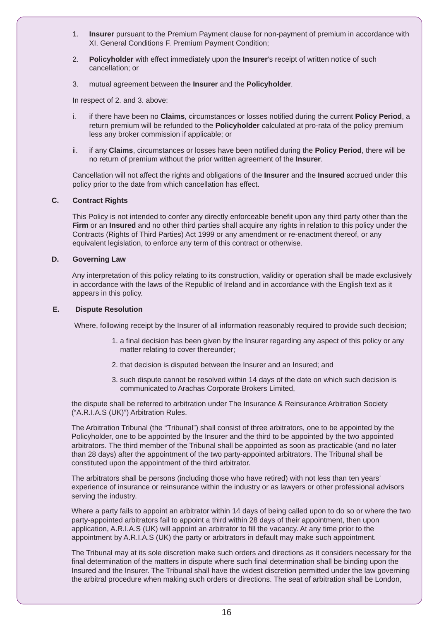- 1. **Insurer** pursuant to the Premium Payment clause for non-payment of premium in accordance with XI. General Conditions F. Premium Payment Condition;
- 2. **Policyholder** with effect immediately upon the **Insurer**'s receipt of written notice of such cancellation; or
- 3. mutual agreement between the **Insurer** and the **Policyholder**.

In respect of 2. and 3. above:

- i. if there have been no **Claims**, circumstances or losses notified during the current **Policy Period**, a return premium will be refunded to the **Policyholder** calculated at pro-rata of the policy premium less any broker commission if applicable; or
- ii. if any **Claims**, circumstances or losses have been notified during the **Policy Period**, there will be no return of premium without the prior written agreement of the **Insurer**.

 Cancellation will not affect the rights and obligations of the **Insurer** and the **Insured** accrued under this policy prior to the date from which cancellation has effect.

#### **C. Contract Rights**

 This Policy is not intended to confer any directly enforceable benefit upon any third party other than the **Firm** or an **Insured** and no other third parties shall acquire any rights in relation to this policy under the Contracts (Rights of Third Parties) Act 1999 or any amendment or re-enactment thereof, or any equivalent legislation, to enforce any term of this contract or otherwise.

#### **D. Governing Law**

 Any interpretation of this policy relating to its construction, validity or operation shall be made exclusively in accordance with the laws of the Republic of Ireland and in accordance with the English text as it appears in this policy.

#### **E. Dispute Resolution**

Where, following receipt by the Insurer of all information reasonably required to provide such decision;

- 1. a final decision has been given by the Insurer regarding any aspect of this policy or any matter relating to cover thereunder;
- 2. that decision is disputed between the Insurer and an Insured; and
- 3. such dispute cannot be resolved within 14 days of the date on which such decision is communicated to Arachas Corporate Brokers Limited,

the dispute shall be referred to arbitration under The Insurance & Reinsurance Arbitration Society ("A.R.I.A.S (UK)") Arbitration Rules.

The Arbitration Tribunal (the "Tribunal") shall consist of three arbitrators, one to be appointed by the Policyholder, one to be appointed by the Insurer and the third to be appointed by the two appointed arbitrators. The third member of the Tribunal shall be appointed as soon as practicable (and no later than 28 days) after the appointment of the two party-appointed arbitrators. The Tribunal shall be constituted upon the appointment of the third arbitrator.

The arbitrators shall be persons (including those who have retired) with not less than ten years' experience of insurance or reinsurance within the industry or as lawyers or other professional advisors serving the industry.

Where a party fails to appoint an arbitrator within 14 days of being called upon to do so or where the two party-appointed arbitrators fail to appoint a third within 28 days of their appointment, then upon application, A.R.I.A.S (UK) will appoint an arbitrator to fill the vacancy. At any time prior to the appointment by A.R.I.A.S (UK) the party or arbitrators in default may make such appointment.

The Tribunal may at its sole discretion make such orders and directions as it considers necessary for the final determination of the matters in dispute where such final determination shall be binding upon the Insured and the Insurer. The Tribunal shall have the widest discretion permitted under the law governing the arbitral procedure when making such orders or directions. The seat of arbitration shall be London,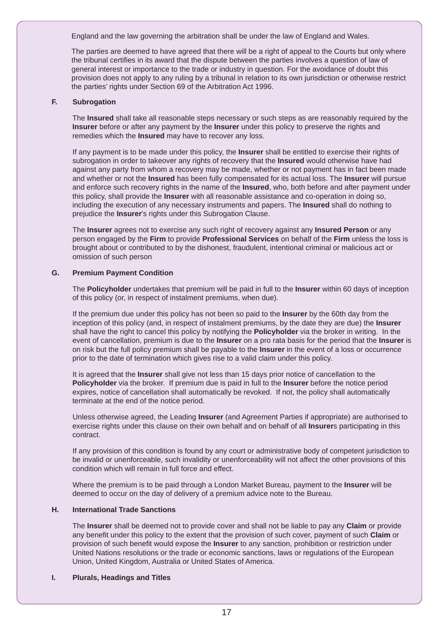England and the law governing the arbitration shall be under the law of England and Wales.

The parties are deemed to have agreed that there will be a right of appeal to the Courts but only where the tribunal certifies in its award that the dispute between the parties involves a question of law of general interest or importance to the trade or industry in question. For the avoidance of doubt this provision does not apply to any ruling by a tribunal in relation to its own jurisdiction or otherwise restrict the parties' rights under Section 69 of the Arbitration Act 1996.

#### **F. Subrogation**

 The **Insured** shall take all reasonable steps necessary or such steps as are reasonably required by the **Insurer** before or after any payment by the **Insurer** under this policy to preserve the rights and remedies which the **Insured** may have to recover any loss.

 If any payment is to be made under this policy, the **Insurer** shall be entitled to exercise their rights of subrogation in order to takeover any rights of recovery that the **Insured** would otherwise have had against any party from whom a recovery may be made, whether or not payment has in fact been made and whether or not the **Insured** has been fully compensated for its actual loss. The **Insurer** will pursue and enforce such recovery rights in the name of the **Insured**, who, both before and after payment under this policy, shall provide the **Insurer** with all reasonable assistance and co-operation in doing so, including the execution of any necessary instruments and papers. The **Insured** shall do nothing to prejudice the **Insurer**'s rights under this Subrogation Clause.

 The **Insurer** agrees not to exercise any such right of recovery against any **Insured Person** or any person engaged by the **Firm** to provide **Professional Services** on behalf of the **Firm** unless the loss is brought about or contributed to by the dishonest, fraudulent, intentional criminal or malicious act or omission of such person

#### **G. Premium Payment Condition**

 The **Policyholder** undertakes that premium will be paid in full to the **Insurer** within 60 days of inception of this policy (or, in respect of instalment premiums, when due).

 If the premium due under this policy has not been so paid to the **Insurer** by the 60th day from the inception of this policy (and, in respect of instalment premiums, by the date they are due) the **Insurer** shall have the right to cancel this policy by notifying the **Policyholder** via the broker in writing. In the event of cancellation, premium is due to the **Insurer** on a pro rata basis for the period that the **Insurer** is on risk but the full policy premium shall be payable to the **Insurer** in the event of a loss or occurrence prior to the date of termination which gives rise to a valid claim under this policy.

 It is agreed that the **Insurer** shall give not less than 15 days prior notice of cancellation to the **Policyholder** via the broker. If premium due is paid in full to the **Insurer** before the notice period expires, notice of cancellation shall automatically be revoked. If not, the policy shall automatically terminate at the end of the notice period.

 Unless otherwise agreed, the Leading **Insurer** (and Agreement Parties if appropriate) are authorised to exercise rights under this clause on their own behalf and on behalf of all **Insurer**s participating in this contract.

 If any provision of this condition is found by any court or administrative body of competent jurisdiction to be invalid or unenforceable, such invalidity or unenforceability will not affect the other provisions of this condition which will remain in full force and effect.

 Where the premium is to be paid through a London Market Bureau, payment to the **Insurer** will be deemed to occur on the day of delivery of a premium advice note to the Bureau.

#### **H. International Trade Sanctions**

 The **Insurer** shall be deemed not to provide cover and shall not be liable to pay any **Claim** or provide any benefit under this policy to the extent that the provision of such cover, payment of such **Claim** or provision of such benefit would expose the **Insurer** to any sanction, prohibition or restriction under United Nations resolutions or the trade or economic sanctions, laws or regulations of the European Union, United Kingdom, Australia or United States of America.

#### **I. Plurals, Headings and Titles**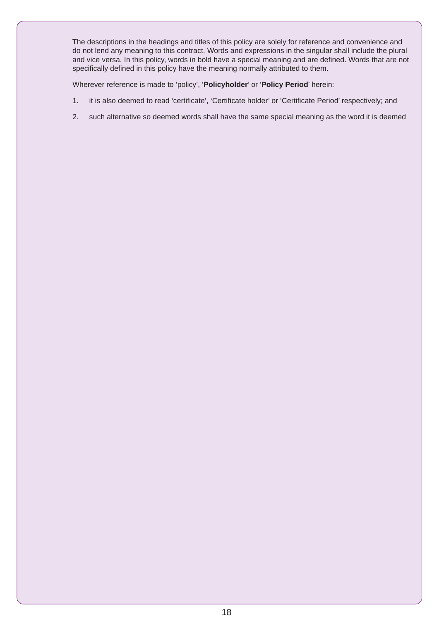The descriptions in the headings and titles of this policy are solely for reference and convenience and do not lend any meaning to this contract. Words and expressions in the singular shall include the plural and vice versa. In this policy, words in bold have a special meaning and are defined. Words that are not specifically defined in this policy have the meaning normally attributed to them.

Wherever reference is made to 'policy', '**Policyholder**' or '**Policy Period**' herein:

- 1. it is also deemed to read 'certificate', 'Certificate holder' or 'Certificate Period' respectively; and
- 2. such alternative so deemed words shall have the same special meaning as the word it is deemed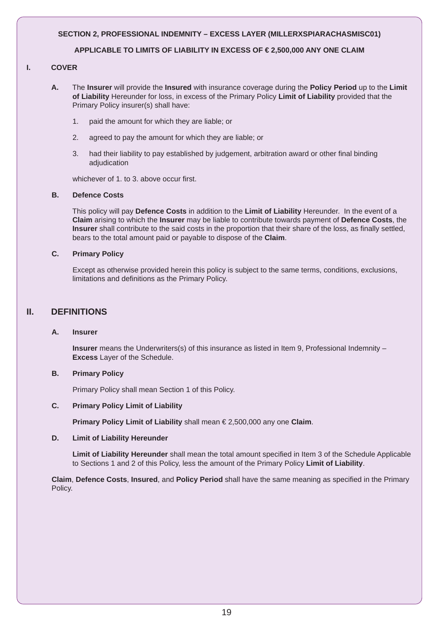#### **SECTION 2, PROFESSIONAL INDEMNITY – EXCESS LAYER (MILLERXSPIARACHASMISC01)**

#### **APPLICABLE TO LIMITS OF LIABILITY IN EXCESS OF € 2,500,000 ANY ONE CLAIM**

#### **I. COVER**

- **A.** The **Insurer** will provide the **Insured** with insurance coverage during the **Policy Period** up to the **Limit of Liability** Hereunder for loss, in excess of the Primary Policy **Limit of Liability** provided that the Primary Policy insurer(s) shall have:
	- 1. paid the amount for which they are liable; or
	- 2. agreed to pay the amount for which they are liable; or
	- 3. had their liability to pay established by judgement, arbitration award or other final binding adjudication

whichever of 1. to 3. above occur first.

#### **B. Defence Costs**

 This policy will pay **Defence Costs** in addition to the **Limit of Liability** Hereunder. In the event of a **Claim** arising to which the **Insurer** may be liable to contribute towards payment of **Defence Costs**, the **Insurer** shall contribute to the said costs in the proportion that their share of the loss, as finally settled, bears to the total amount paid or payable to dispose of the **Claim**.

#### **C. Primary Policy**

 Except as otherwise provided herein this policy is subject to the same terms, conditions, exclusions, limitations and definitions as the Primary Policy.

# **II. DEFINITIONS**

#### **A. Insurer**

**Insurer** means the Underwriters(s) of this insurance as listed in Item 9, Professional Indemnity – **Excess** Layer of the Schedule.

#### **B. Primary Policy**

Primary Policy shall mean Section 1 of this Policy.

#### **C. Primary Policy Limit of Liability**

**Primary Policy Limit of Liability** shall mean € 2,500,000 any one **Claim**.

#### **D. Limit of Liability Hereunder**

 **Limit of Liability Hereunder** shall mean the total amount specified in Item 3 of the Schedule Applicable to Sections 1 and 2 of this Policy, less the amount of the Primary Policy **Limit of Liability**.

 **Claim**, **Defence Costs**, **Insured**, and **Policy Period** shall have the same meaning as specified in the Primary Policy.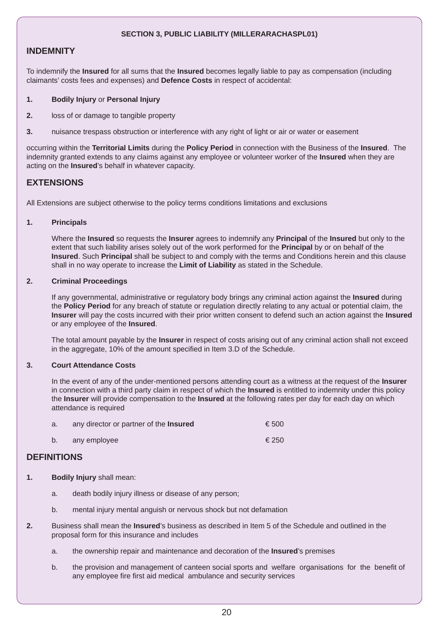#### **SECTION 3, PUBLIC LIABILITY (MILLERARACHASPL01)**

### **INDEMNITY**

To indemnify the **Insured** for all sums that the **Insured** becomes legally liable to pay as compensation (including claimants' costs fees and expenses) and **Defence Costs** in respect of accidental:

#### **1. Bodily Injury** or **Personal Injury**

- **2.** loss of or damage to tangible property
- **3.** nuisance trespass obstruction or interference with any right of light or air or water or easement

occurring within the **Territorial Limits** during the **Policy Period** in connection with the Business of the **Insured**. The indemnity granted extends to any claims against any employee or volunteer worker of the **Insured** when they are acting on the **Insured**'s behalf in whatever capacity.

# **EXTENSIONS**

All Extensions are subject otherwise to the policy terms conditions limitations and exclusions

#### **1. Principals**

 Where the **Insured** so requests the **Insurer** agrees to indemnify any **Principal** of the **Insured** but only to the extent that such liability arises solely out of the work performed for the **Principal** by or on behalf of the **Insured**. Such **Principal** shall be subject to and comply with the terms and Conditions herein and this clause shall in no way operate to increase the **Limit of Liability** as stated in the Schedule.

#### **2. Criminal Proceedings**

 If any governmental, administrative or regulatory body brings any criminal action against the **Insured** during the **Policy Period** for any breach of statute or regulation directly relating to any actual or potential claim, the **Insurer** will pay the costs incurred with their prior written consent to defend such an action against the **Insured** or any employee of the **Insured**.

 The total amount payable by the **Insurer** in respect of costs arising out of any criminal action shall not exceed in the aggregate, 10% of the amount specified in Item 3.D of the Schedule.

#### **3. Court Attendance Costs**

 In the event of any of the under-mentioned persons attending court as a witness at the request of the **Insurer** in connection with a third party claim in respect of which the **Insured** is entitled to indemnity under this policy the **Insurer** will provide compensation to the **Insured** at the following rates per day for each day on which attendance is required

|  | any director or partner of the Insured | € 500 |
|--|----------------------------------------|-------|
|  | b. any employee                        | € 250 |

#### **DEFINITIONS**

- **1. Bodily Injury** shall mean:
	- a. death bodily injury illness or disease of any person;
	- b. mental injury mental anguish or nervous shock but not defamation
- **2.** Business shall mean the **Insured**'s business as described in Item 5 of the Schedule and outlined in the proposal form for this insurance and includes
	- a. the ownership repair and maintenance and decoration of the **Insured**'s premises
	- b. the provision and management of canteen social sports and welfare organisations for the benefit of any employee fire first aid medical ambulance and security services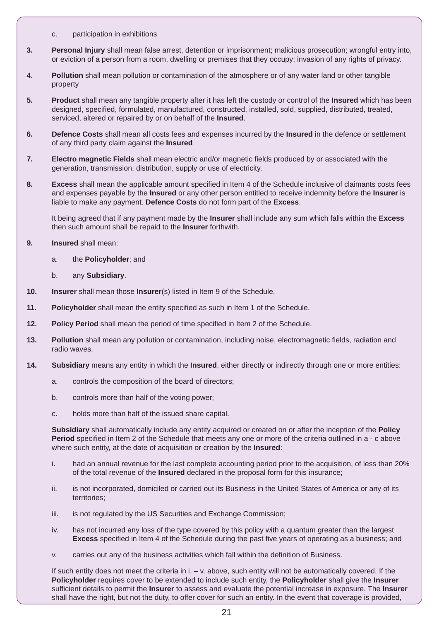- c. participation in exhibitions
- **3. Personal Injury** shall mean false arrest, detention or imprisonment; malicious prosecution; wrongful entry into, or eviction of a person from a room, dwelling or premises that they occupy; invasion of any rights of privacy.
- 4. **Pollution** shall mean pollution or contamination of the atmosphere or of any water land or other tangible property
- **5. Product** shall mean any tangible property after it has left the custody or control of the **Insured** which has been designed, specified, formulated, manufactured, constructed, installed, sold, supplied, distributed, treated, serviced, altered or repaired by or on behalf of the **Insured**.
- **6. Defence Costs** shall mean all costs fees and expenses incurred by the **Insured** in the defence or settlement of any third party claim against the **Insured**
- **7. Electro magnetic Fields** shall mean electric and/or magnetic fields produced by or associated with the generation, transmission, distribution, supply or use of electricity.
- **8. Excess** shall mean the applicable amount specified in Item 4 of the Schedule inclusive of claimants costs fees and expenses payable by the **Insured** or any other person entitled to receive indemnity before the **Insurer** is liable to make any payment. **Defence Costs** do not form part of the **Excess**.

 It being agreed that if any payment made by the **Insurer** shall include any sum which falls within the **Excess** then such amount shall be repaid to the **Insurer** forthwith.

- **9. Insured** shall mean:
	- a. the **Policyholder**; and
	- b. any **Subsidiary**.
- **10. Insurer** shall mean those **Insurer**(s) listed in Item 9 of the Schedule.
- **11. Policyholder** shall mean the entity specified as such in Item 1 of the Schedule.
- **12. Policy Period** shall mean the period of time specified in Item 2 of the Schedule.
- **13. Pollution** shall mean any pollution or contamination, including noise, electromagnetic fields, radiation and radio waves.
- **14. Subsidiary** means any entity in which the **Insured**, either directly or indirectly through one or more entities:
	- a. controls the composition of the board of directors;
	- b. controls more than half of the voting power;
	- c. holds more than half of the issued share capital.

 **Subsidiary** shall automatically include any entity acquired or created on or after the inception of the **Policy Period** specified in Item 2 of the Schedule that meets any one or more of the criteria outlined in a - c above where such entity, at the date of acquisition or creation by the **Insured**:

- i. had an annual revenue for the last complete accounting period prior to the acquisition, of less than 20% of the total revenue of the **Insured** declared in the proposal form for this insurance;
- ii. is not incorporated, domiciled or carried out its Business in the United States of America or any of its territories;
- iii. is not regulated by the US Securities and Exchange Commission;
- iv. has not incurred any loss of the type covered by this policy with a quantum greater than the largest **Excess** specified in Item 4 of the Schedule during the past five years of operating as a business; and
- v. carries out any of the business activities which fall within the definition of Business.

 If such entity does not meet the criteria in i. – v. above, such entity will not be automatically covered. If the **Policyholder** requires cover to be extended to include such entity, the **Policyholder** shall give the **Insurer** sufficient details to permit the **Insurer** to assess and evaluate the potential increase in exposure. The **Insurer** shall have the right, but not the duty, to offer cover for such an entity. In the event that coverage is provided,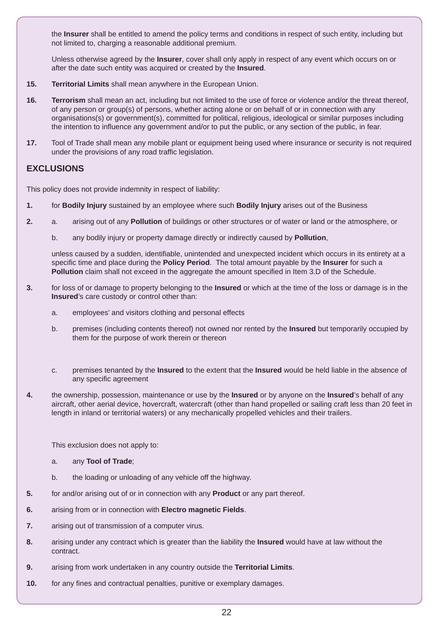the **Insurer** shall be entitled to amend the policy terms and conditions in respect of such entity, including but not limited to, charging a reasonable additional premium.

 Unless otherwise agreed by the **Insurer**, cover shall only apply in respect of any event which occurs on or after the date such entity was acquired or created by the **Insured**.

- **15. Territorial Limits** shall mean anywhere in the European Union.
- **16. Terrorism** shall mean an act, including but not limited to the use of force or violence and/or the threat thereof, of any person or group(s) of persons, whether acting alone or on behalf of or in connection with any organisations(s) or government(s), committed for political, religious, ideological or similar purposes including the intention to influence any government and/or to put the public, or any section of the public, in fear.
- **17.** Tool of Trade shall mean any mobile plant or equipment being used where insurance or security is not required under the provisions of any road traffic legislation.

# **EXCLUSIONS**

This policy does not provide indemnity in respect of liability:

- **1.** for **Bodily Injury** sustained by an employee where such **Bodily Injury** arises out of the Business
- **2.** a. arising out of any **Pollution** of buildings or other structures or of water or land or the atmosphere, or
	- b. any bodily injury or property damage directly or indirectly caused by **Pollution**,

 unless caused by a sudden, identifiable, unintended and unexpected incident which occurs in its entirety at a specific time and place during the **Policy Period**. The total amount payable by the **Insurer** for such a **Pollution** claim shall not exceed in the aggregate the amount specified in Item 3.D of the Schedule.

- **3.** for loss of or damage to property belonging to the **Insured** or which at the time of the loss or damage is in the **Insured**'s care custody or control other than:
	- a. employees' and visitors clothing and personal effects
	- b. premises (including contents thereof) not owned nor rented by the **Insured** but temporarily occupied by them for the purpose of work therein or thereon
	- c. premises tenanted by the **Insured** to the extent that the **Insured** would be held liable in the absence of any specific agreement
- **4.** the ownership, possession, maintenance or use by the **Insured** or by anyone on the **Insured**'s behalf of any aircraft, other aerial device, hovercraft, watercraft (other than hand propelled or sailing craft less than 20 feet in length in inland or territorial waters) or any mechanically propelled vehicles and their trailers.

This exclusion does not apply to:

- a. any **Tool of Trade**;
- b. the loading or unloading of any vehicle off the highway.
- **5.** for and/or arising out of or in connection with any **Product** or any part thereof.
- **6.** arising from or in connection with **Electro magnetic Fields**.
- **7.** arising out of transmission of a computer virus.
- **8.** arising under any contract which is greater than the liability the **Insured** would have at law without the contract.
- **9.** arising from work undertaken in any country outside the **Territorial Limits**.
- **10.** for any fines and contractual penalties, punitive or exemplary damages.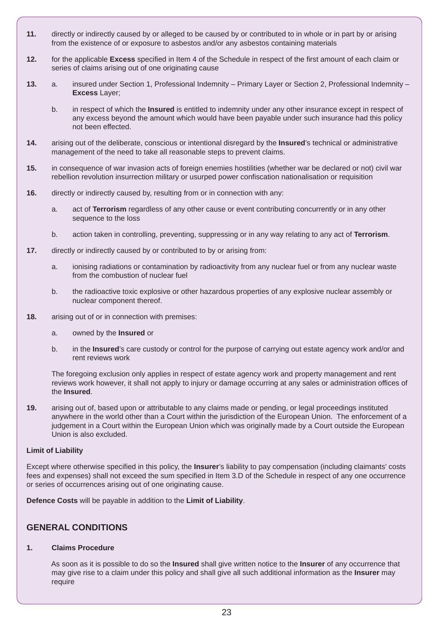- **11.** directly or indirectly caused by or alleged to be caused by or contributed to in whole or in part by or arising from the existence of or exposure to asbestos and/or any asbestos containing materials
- **12.** for the applicable **Excess** specified in Item 4 of the Schedule in respect of the first amount of each claim or series of claims arising out of one originating cause
- **13.** a. insured under Section 1, Professional Indemnity Primary Layer or Section 2, Professional Indemnity **Excess** Layer;
	- b. in respect of which the **Insured** is entitled to indemnity under any other insurance except in respect of any excess beyond the amount which would have been payable under such insurance had this policy not been effected.
- **14.** arising out of the deliberate, conscious or intentional disregard by the **Insured**'s technical or administrative management of the need to take all reasonable steps to prevent claims.
- **15.** in consequence of war invasion acts of foreign enemies hostilities (whether war be declared or not) civil war rebellion revolution insurrection military or usurped power confiscation nationalisation or requisition
- **16.** directly or indirectly caused by, resulting from or in connection with any:
	- a. act of **Terrorism** regardless of any other cause or event contributing concurrently or in any other sequence to the loss
	- b. action taken in controlling, preventing, suppressing or in any way relating to any act of **Terrorism**.
- **17.** directly or indirectly caused by or contributed to by or arising from:
	- a. ionising radiations or contamination by radioactivity from any nuclear fuel or from any nuclear waste from the combustion of nuclear fuel
	- b. the radioactive toxic explosive or other hazardous properties of any explosive nuclear assembly or nuclear component thereof.
- **18.** arising out of or in connection with premises:
	- a. owned by the **Insured** or
	- b. in the **Insured**'s care custody or control for the purpose of carrying out estate agency work and/or and rent reviews work

 The foregoing exclusion only applies in respect of estate agency work and property management and rent reviews work however, it shall not apply to injury or damage occurring at any sales or administration offices of the **Insured**.

**19.** arising out of, based upon or attributable to any claims made or pending, or legal proceedings instituted anywhere in the world other than a Court within the jurisdiction of the European Union. The enforcement of a judgement in a Court within the European Union which was originally made by a Court outside the European Union is also excluded.

#### **Limit of Liability**

Except where otherwise specified in this policy, the **Insurer**'s liability to pay compensation (including claimants' costs fees and expenses) shall not exceed the sum specified in Item 3.D of the Schedule in respect of any one occurrence or series of occurrences arising out of one originating cause.

**Defence Costs** will be payable in addition to the **Limit of Liability**.

# **GENERAL CONDITIONS**

# **1. Claims Procedure**

 As soon as it is possible to do so the **Insured** shall give written notice to the **Insurer** of any occurrence that may give rise to a claim under this policy and shall give all such additional information as the **Insurer** may require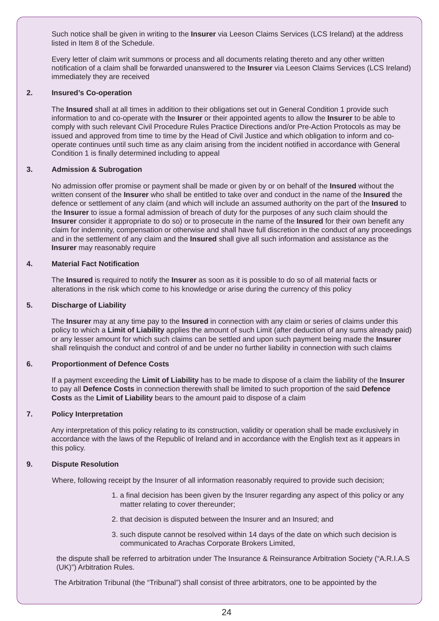Such notice shall be given in writing to the **Insurer** via Leeson Claims Services (LCS Ireland) at the address listed in Item 8 of the Schedule.

 Every letter of claim writ summons or process and all documents relating thereto and any other written notification of a claim shall be forwarded unanswered to the **Insurer** via Leeson Claims Services (LCS Ireland) immediately they are received

#### **2. Insured's Co-operation**

 The **Insured** shall at all times in addition to their obligations set out in General Condition 1 provide such information to and co-operate with the **Insurer** or their appointed agents to allow the **Insurer** to be able to comply with such relevant Civil Procedure Rules Practice Directions and/or Pre-Action Protocols as may be issued and approved from time to time by the Head of Civil Justice and which obligation to inform and cooperate continues until such time as any claim arising from the incident notified in accordance with General Condition 1 is finally determined including to appeal

#### **3. Admission & Subrogation**

 No admission offer promise or payment shall be made or given by or on behalf of the **Insured** without the written consent of the **Insurer** who shall be entitled to take over and conduct in the name of the **Insured** the defence or settlement of any claim (and which will include an assumed authority on the part of the **Insured** to the **Insurer** to issue a formal admission of breach of duty for the purposes of any such claim should the **Insurer** consider it appropriate to do so) or to prosecute in the name of the **Insured** for their own benefit any claim for indemnity, compensation or otherwise and shall have full discretion in the conduct of any proceedings and in the settlement of any claim and the **Insured** shall give all such information and assistance as the **Insurer** may reasonably require

#### **4. Material Fact Notification**

 The **Insured** is required to notify the **Insurer** as soon as it is possible to do so of all material facts or alterations in the risk which come to his knowledge or arise during the currency of this policy

#### **5. Discharge of Liability**

 The **Insurer** may at any time pay to the **Insured** in connection with any claim or series of claims under this policy to which a **Limit of Liability** applies the amount of such Limit (after deduction of any sums already paid) or any lesser amount for which such claims can be settled and upon such payment being made the **Insurer** shall relinquish the conduct and control of and be under no further liability in connection with such claims

#### **6. Proportionment of Defence Costs**

 If a payment exceeding the **Limit of Liability** has to be made to dispose of a claim the liability of the **Insurer** to pay all **Defence Costs** in connection therewith shall be limited to such proportion of the said **Defence Costs** as the **Limit of Liability** bears to the amount paid to dispose of a claim

#### **7. Policy Interpretation**

 Any interpretation of this policy relating to its construction, validity or operation shall be made exclusively in accordance with the laws of the Republic of Ireland and in accordance with the English text as it appears in this policy.

#### **9. Dispute Resolution**

Where, following receipt by the Insurer of all information reasonably required to provide such decision;

- 1. a final decision has been given by the Insurer regarding any aspect of this policy or any matter relating to cover thereunder;
- 2. that decision is disputed between the Insurer and an Insured; and
- 3. such dispute cannot be resolved within 14 days of the date on which such decision is communicated to Arachas Corporate Brokers Limited,

the dispute shall be referred to arbitration under The Insurance & Reinsurance Arbitration Society ("A.R.I.A.S (UK)") Arbitration Rules.

The Arbitration Tribunal (the "Tribunal") shall consist of three arbitrators, one to be appointed by the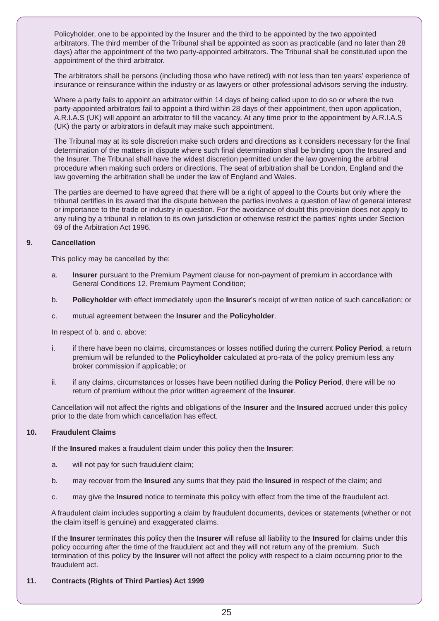Policyholder, one to be appointed by the Insurer and the third to be appointed by the two appointed arbitrators. The third member of the Tribunal shall be appointed as soon as practicable (and no later than 28 days) after the appointment of the two party-appointed arbitrators. The Tribunal shall be constituted upon the appointment of the third arbitrator.

The arbitrators shall be persons (including those who have retired) with not less than ten years' experience of insurance or reinsurance within the industry or as lawyers or other professional advisors serving the industry.

Where a party fails to appoint an arbitrator within 14 days of being called upon to do so or where the two party-appointed arbitrators fail to appoint a third within 28 days of their appointment, then upon application, A.R.I.A.S (UK) will appoint an arbitrator to fill the vacancy. At any time prior to the appointment by A.R.I.A.S (UK) the party or arbitrators in default may make such appointment.

The Tribunal may at its sole discretion make such orders and directions as it considers necessary for the final determination of the matters in dispute where such final determination shall be binding upon the Insured and the Insurer. The Tribunal shall have the widest discretion permitted under the law governing the arbitral procedure when making such orders or directions. The seat of arbitration shall be London, England and the law governing the arbitration shall be under the law of England and Wales.

The parties are deemed to have agreed that there will be a right of appeal to the Courts but only where the tribunal certifies in its award that the dispute between the parties involves a question of law of general interest or importance to the trade or industry in question. For the avoidance of doubt this provision does not apply to any ruling by a tribunal in relation to its own jurisdiction or otherwise restrict the parties' rights under Section 69 of the Arbitration Act 1996.

#### **9. Cancellation**

This policy may be cancelled by the:

- a. **Insurer** pursuant to the Premium Payment clause for non-payment of premium in accordance with General Conditions 12. Premium Payment Condition;
- b. **Policyholder** with effect immediately upon the **Insurer**'s receipt of written notice of such cancellation; or
- c. mutual agreement between the **Insurer** and the **Policyholder**.

In respect of b. and c. above:

- i. if there have been no claims, circumstances or losses notified during the current **Policy Period**, a return premium will be refunded to the **Policyholder** calculated at pro-rata of the policy premium less any broker commission if applicable; or
- ii. if any claims, circumstances or losses have been notified during the **Policy Period**, there will be no return of premium without the prior written agreement of the **Insurer**.

 Cancellation will not affect the rights and obligations of the **Insurer** and the **Insured** accrued under this policy prior to the date from which cancellation has effect.

#### **10. Fraudulent Claims**

If the **Insured** makes a fraudulent claim under this policy then the **Insurer**:

- a. will not pay for such fraudulent claim;
- b. may recover from the **Insured** any sums that they paid the **Insured** in respect of the claim; and
- c. may give the **Insured** notice to terminate this policy with effect from the time of the fraudulent act.

 A fraudulent claim includes supporting a claim by fraudulent documents, devices or statements (whether or not the claim itself is genuine) and exaggerated claims.

 If the **Insurer** terminates this policy then the **Insurer** will refuse all liability to the **Insured** for claims under this policy occurring after the time of the fraudulent act and they will not return any of the premium. Such termination of this policy by the **Insurer** will not affect the policy with respect to a claim occurring prior to the fraudulent act.

#### **11. Contracts (Rights of Third Parties) Act 1999**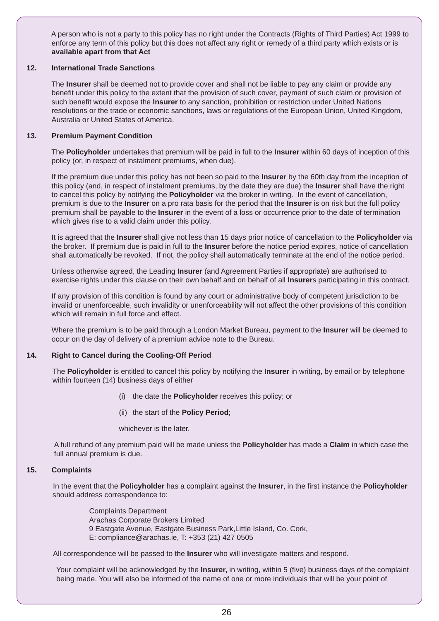A person who is not a party to this policy has no right under the Contracts (Rights of Third Parties) Act 1999 to enforce any term of this policy but this does not affect any right or remedy of a third party which exists or is **available apart from that Act** 

#### **12. International Trade Sanctions**

 The **Insurer** shall be deemed not to provide cover and shall not be liable to pay any claim or provide any benefit under this policy to the extent that the provision of such cover, payment of such claim or provision of such benefit would expose the **Insurer** to any sanction, prohibition or restriction under United Nations resolutions or the trade or economic sanctions, laws or regulations of the European Union, United Kingdom, Australia or United States of America.

#### **13. Premium Payment Condition**

 The **Policyholder** undertakes that premium will be paid in full to the **Insurer** within 60 days of inception of this policy (or, in respect of instalment premiums, when due).

 If the premium due under this policy has not been so paid to the **Insurer** by the 60th day from the inception of this policy (and, in respect of instalment premiums, by the date they are due) the **Insurer** shall have the right to cancel this policy by notifying the **Policyholder** via the broker in writing. In the event of cancellation, premium is due to the **Insurer** on a pro rata basis for the period that the **Insurer** is on risk but the full policy premium shall be payable to the **Insurer** in the event of a loss or occurrence prior to the date of termination which gives rise to a valid claim under this policy.

 It is agreed that the **Insurer** shall give not less than 15 days prior notice of cancellation to the **Policyholder** via the broker. If premium due is paid in full to the **Insurer** before the notice period expires, notice of cancellation shall automatically be revoked. If not, the policy shall automatically terminate at the end of the notice period.

 Unless otherwise agreed, the Leading **Insurer** (and Agreement Parties if appropriate) are authorised to exercise rights under this clause on their own behalf and on behalf of all **Insurer**s participating in this contract.

 If any provision of this condition is found by any court or administrative body of competent jurisdiction to be invalid or unenforceable, such invalidity or unenforceability will not affect the other provisions of this condition which will remain in full force and effect

 Where the premium is to be paid through a London Market Bureau, payment to the **Insurer** will be deemed to occur on the day of delivery of a premium advice note to the Bureau.

#### **14. Right to Cancel during the Cooling-Off Period**

The **Policyholder** is entitled to cancel this policy by notifying the **Insurer** in writing, by email or by telephone within fourteen (14) business days of either

- (i) the date the **Policyholder** receives this policy; or
- (ii) the start of the **Policy Period**;

whichever is the later.

A full refund of any premium paid will be made unless the **Policyholder** has made a **Claim** in which case the full annual premium is due.

#### **15. Complaints**

In the event that the **Policyholder** has a complaint against the **Insurer**, in the first instance the **Policyholder** should address correspondence to:

> Complaints Department Arachas Corporate Brokers Limited 9 Eastgate Avenue, Eastgate Business Park,Little Island, Co. Cork, E: compliance@arachas.ie, T: +353 (21) 427 0505

All correspondence will be passed to the **Insurer** who will investigate matters and respond.

Your complaint will be acknowledged by the **Insurer,** in writing, within 5 (five) business days of the complaint being made. You will also be informed of the name of one or more individuals that will be your point of